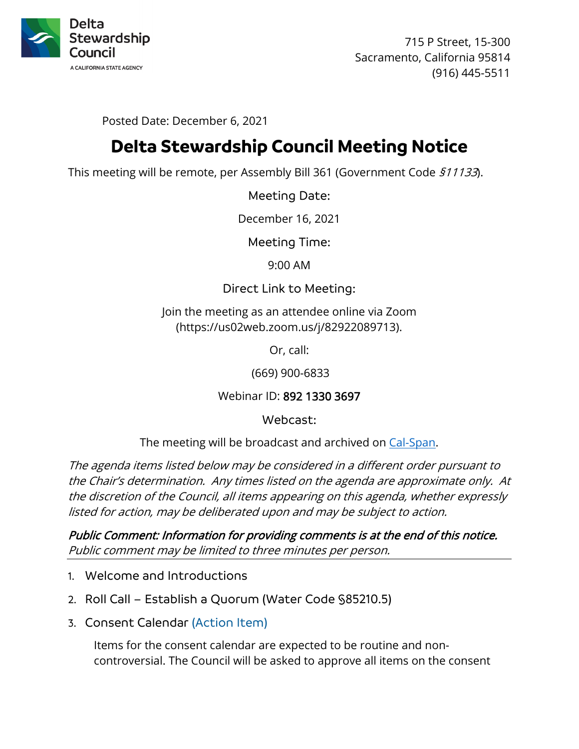

715 P Street, 15-300 Sacramento, California 95814 (916) 445-5511

Posted Date: December 6, 2021

# **Delta Stewardship Council Meeting Notice**

This meeting will be remote, per Assembly Bill 361 (Government Code 511133).

Meeting Date:

December 16, 2021

Meeting Time:

9:00 AM

Direct Link to Meeting:

Join the meeting as an attendee online via Zoom (https://us02web.zoom.us/j/82922089713).

Or, call:

(669) 900-6833

Webinar ID: 892 1330 3697

Webcast:

The meeting will be broadcast and archived on [Cal-Span.](https://www.cal-span.org/)

The agenda items listed below may be considered in a different order pursuant to the Chair's determination. Any times listed on the agenda are approximate only. At the discretion of the Council, all items appearing on this agenda, whether expressly listed for action, may be deliberated upon and may be subject to action.

Public Comment: Information for providing comments is at the end of this notice. Public comment may be limited to three minutes per person.

- 1. Welcome and Introductions
- 2. Roll Call Establish a Quorum (Water Code §85210.5)
- 3. Consent Calendar (Action Item)

Items for the consent calendar are expected to be routine and noncontroversial. The Council will be asked to approve all items on the consent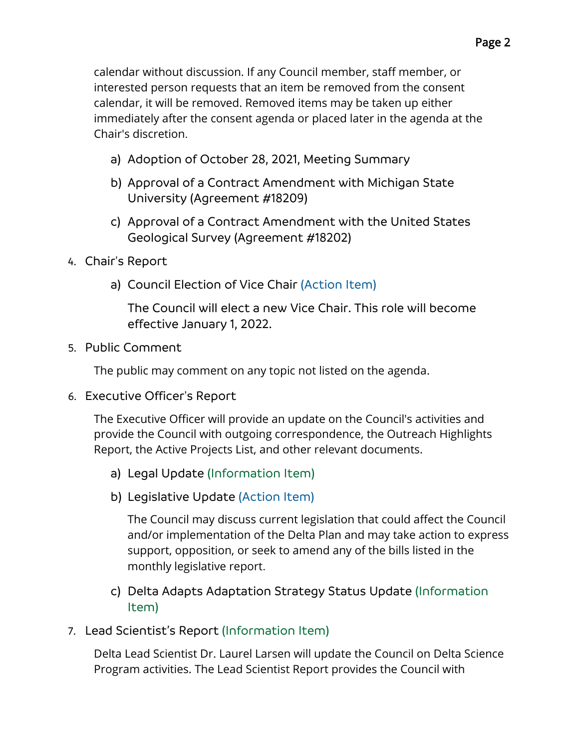calendar without discussion. If any Council member, staff member, or interested person requests that an item be removed from the consent calendar, it will be removed. Removed items may be taken up either immediately after the consent agenda or placed later in the agenda at the Chair's discretion.

- a) Adoption of October 28, 2021, Meeting Summary
- b) Approval of a Contract Amendment with Michigan State University (Agreement #18209)
- c) Approval of a Contract Amendment with the United States Geological Survey (Agreement #18202)
- 4. Chair's Report
	- a) Council Election of Vice Chair (Action Item)

The Council will elect a new Vice Chair. This role will become effective January 1, 2022.

5. Public Comment

The public may comment on any topic not listed on the agenda.

6. Executive Officer's Report

The Executive Officer will provide an update on the Council's activities and provide the Council with outgoing correspondence, the Outreach Highlights Report, the Active Projects List, and other relevant documents.

- a) Legal Update (Information Item)
- b) Legislative Update (Action Item)

The Council may discuss current legislation that could affect the Council and/or implementation of the Delta Plan and may take action to express support, opposition, or seek to amend any of the bills listed in the monthly legislative report.

c) Delta Adapts Adaptation Strategy Status Update (Information Item)

## 7. Lead Scientist's Report (Information Item)

Delta Lead Scientist Dr. Laurel Larsen will update the Council on Delta Science Program activities. The Lead Scientist Report provides the Council with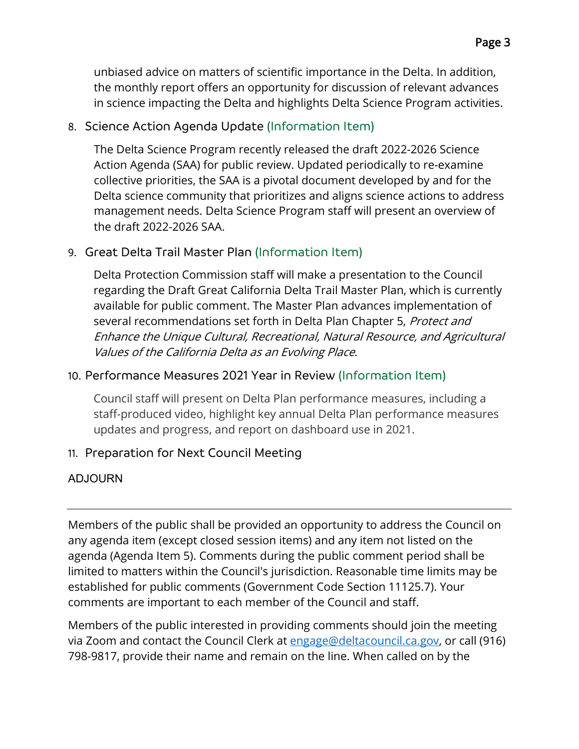unbiased advice on matters of scientific importance in the Delta. In addition, the monthly report offers an opportunity for discussion of relevant advances in science impacting the Delta and highlights Delta Science Program activities.

## 8. Science Action Agenda Update (Information Item)

The Delta Science Program recently released the draft 2022-2026 Science Action Agenda (SAA) for public review. Updated periodically to re-examine collective priorities, the SAA is a pivotal document developed by and for the Delta science community that prioritizes and aligns science actions to address management needs. Delta Science Program staff will present an overview of the draft 2022-2026 SAA.

## 9. Great Delta Trail Master Plan (Information Item)

Delta Protection Commission staff will make a presentation to the Council regarding the Draft Great California Delta Trail Master Plan, which is currently available for public comment. The Master Plan advances implementation of several recommendations set forth in Delta Plan Chapter 5, Protect and Enhance the Unique Cultural, Recreational, Natural Resource, and Agricultural Values of the California Delta as an Evolving Place.

## 10. Performance Measures 2021 Year in Review (Information Item)

Council staff will present on Delta Plan performance measures, including a staff-produced video, highlight key annual Delta Plan performance measures updates and progress, and report on dashboard use in 2021.

## 11. Preparation for Next Council Meeting

## ADJOURN

Members of the public shall be provided an opportunity to address the Council on any agenda item (except closed session items) and any item not listed on the agenda (Agenda Item 5). Comments during the public comment period shall be limited to matters within the Council's jurisdiction. Reasonable time limits may be established for public comments (Government Code Section 11125.7). Your comments are important to each member of the Council and staff.

Members of the public interested in providing comments should join the meeting via Zoom and contact the Council Clerk at [engage@deltacouncil.ca.gov,](mailto:engage@deltacouncil.ca.gov) or call (916) 798-9817, provide their name and remain on the line. When called on by the